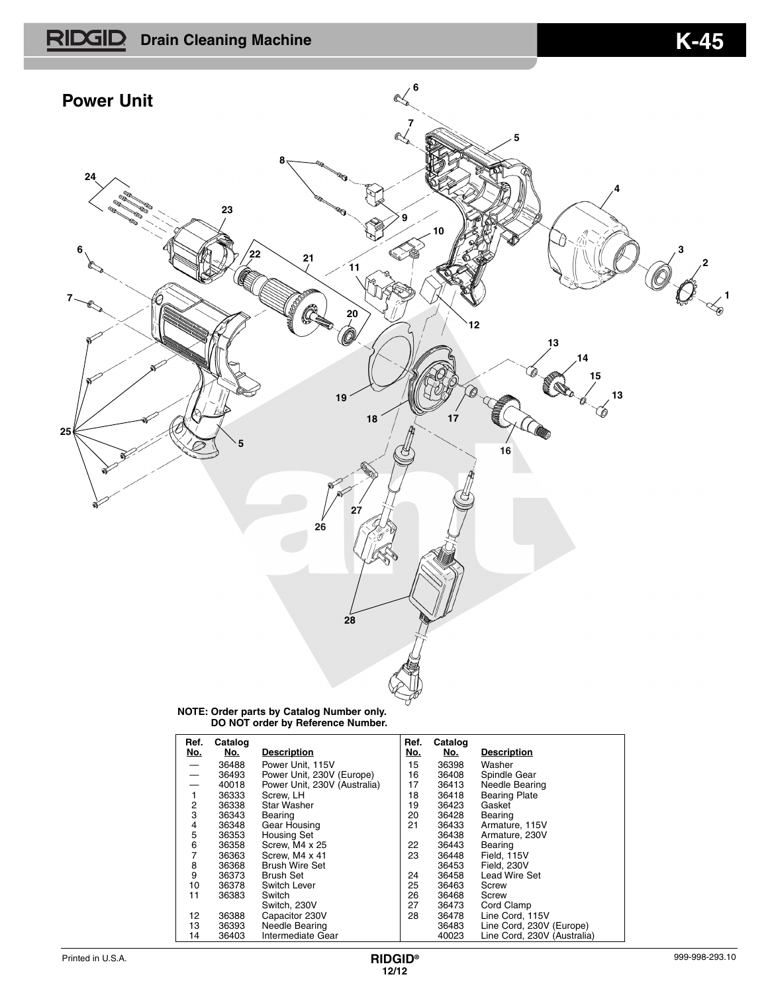



**NOTE: Order parts by Catalog Number only. DO NOT order by Reference Number.**

| Ref.<br><u>No.</u>       | Catalog<br>No. | <b>Description</b>           | Ref.<br>No. | Catalog<br>No. | <b>Description</b>          |
|--------------------------|----------------|------------------------------|-------------|----------------|-----------------------------|
|                          | 36488          | Power Unit. 115V             | 15          | 36398          | Washer                      |
| $\overline{\phantom{0}}$ | 36493          | Power Unit, 230V (Europe)    | 16          | 36408          | Spindle Gear                |
|                          | 40018          | Power Unit, 230V (Australia) | 17          | 36413          | Needle Bearing              |
|                          | 36333          | Screw, LH                    | 18          | 36418          | <b>Bearing Plate</b>        |
| 2                        | 36338          | Star Washer                  | 19          | 36423          | Gasket                      |
| 3                        | 36343          | Bearing                      | 20          | 36428          | Bearing                     |
| 4                        | 36348          | Gear Housing                 | 21          | 36433          | Armature, 115V              |
| 5                        | 36353          | <b>Housing Set</b>           |             | 36438          | Armature, 230V              |
| 6                        | 36358          | Screw, M4 x 25               | 22          | 36443          | Bearing                     |
| 7                        | 36363          | Screw. M4 x 41               | 23          | 36448          | Field, 115V                 |
| 8                        | 36368          | <b>Brush Wire Set</b>        |             | 36453          | Field, 230V                 |
| 9                        | 36373          | <b>Brush Set</b>             | 24          | 36458          | <b>Lead Wire Set</b>        |
| 10                       | 36378          | Switch Lever                 | 25          | 36463          | Screw                       |
| 11                       | 36383          | Switch                       | 26          | 36468          | Screw                       |
|                          |                | Switch, 230V                 | 27          | 36473          | Cord Clamp                  |
| 12                       | 36388          | Capacitor 230V               | 28          | 36478          | Line Cord, 115V             |
| 13                       | 36393          | Needle Bearing               |             | 36483          | Line Cord, 230V (Europe)    |
| 14                       | 36403          | Intermediate Gear            |             | 40023          | Line Cord, 230V (Australia) |